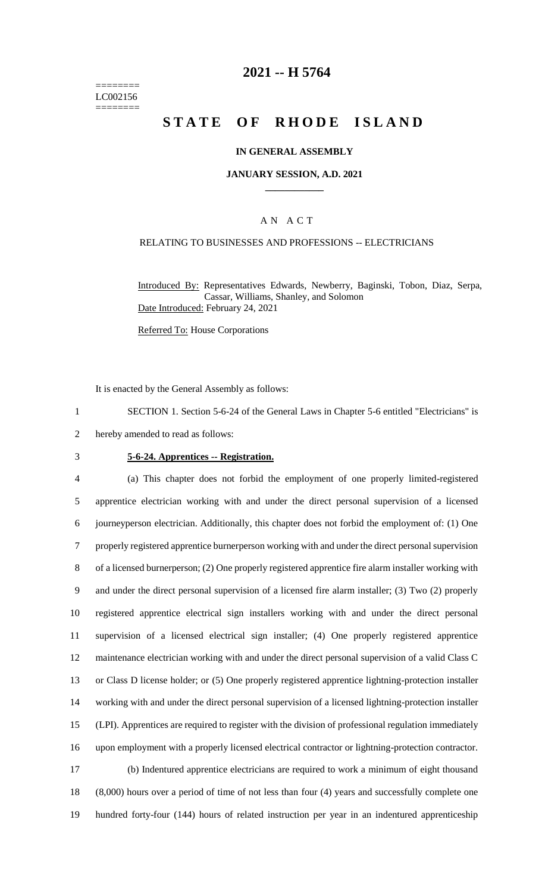======== LC002156 ========

# **2021 -- H 5764**

# **STATE OF RHODE ISLAND**

### **IN GENERAL ASSEMBLY**

#### **JANUARY SESSION, A.D. 2021 \_\_\_\_\_\_\_\_\_\_\_\_**

### A N A C T

#### RELATING TO BUSINESSES AND PROFESSIONS -- ELECTRICIANS

Introduced By: Representatives Edwards, Newberry, Baginski, Tobon, Diaz, Serpa, Cassar, Williams, Shanley, and Solomon Date Introduced: February 24, 2021

Referred To: House Corporations

It is enacted by the General Assembly as follows:

1 SECTION 1. Section 5-6-24 of the General Laws in Chapter 5-6 entitled "Electricians" is

- 2 hereby amended to read as follows:
- 

#### 3 **5-6-24. Apprentices -- Registration.**

 (a) This chapter does not forbid the employment of one properly limited-registered apprentice electrician working with and under the direct personal supervision of a licensed journeyperson electrician. Additionally, this chapter does not forbid the employment of: (1) One properly registered apprentice burnerperson working with and under the direct personal supervision of a licensed burnerperson; (2) One properly registered apprentice fire alarm installer working with and under the direct personal supervision of a licensed fire alarm installer; (3) Two (2) properly registered apprentice electrical sign installers working with and under the direct personal supervision of a licensed electrical sign installer; (4) One properly registered apprentice maintenance electrician working with and under the direct personal supervision of a valid Class C or Class D license holder; or (5) One properly registered apprentice lightning-protection installer working with and under the direct personal supervision of a licensed lightning-protection installer (LPI). Apprentices are required to register with the division of professional regulation immediately upon employment with a properly licensed electrical contractor or lightning-protection contractor. (b) Indentured apprentice electricians are required to work a minimum of eight thousand (8,000) hours over a period of time of not less than four (4) years and successfully complete one

19 hundred forty-four (144) hours of related instruction per year in an indentured apprenticeship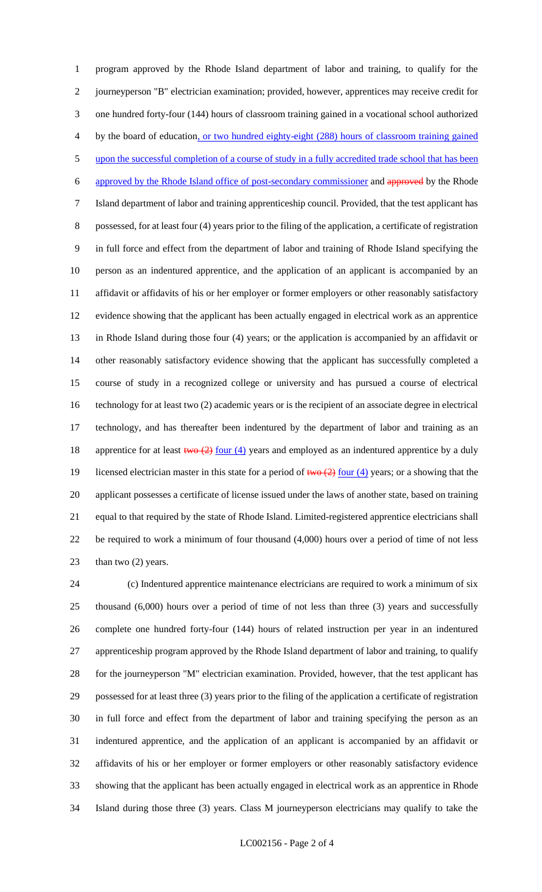program approved by the Rhode Island department of labor and training, to qualify for the journeyperson "B" electrician examination; provided, however, apprentices may receive credit for one hundred forty-four (144) hours of classroom training gained in a vocational school authorized by the board of education, or two hundred eighty-eight (288) hours of classroom training gained 5 upon the successful completion of a course of study in a fully accredited trade school that has been approved by the Rhode Island office of post-secondary commissioner and approved by the Rhode Island department of labor and training apprenticeship council. Provided, that the test applicant has possessed, for at least four (4) years prior to the filing of the application, a certificate of registration in full force and effect from the department of labor and training of Rhode Island specifying the person as an indentured apprentice, and the application of an applicant is accompanied by an affidavit or affidavits of his or her employer or former employers or other reasonably satisfactory evidence showing that the applicant has been actually engaged in electrical work as an apprentice in Rhode Island during those four (4) years; or the application is accompanied by an affidavit or other reasonably satisfactory evidence showing that the applicant has successfully completed a course of study in a recognized college or university and has pursued a course of electrical technology for at least two (2) academic years or is the recipient of an associate degree in electrical technology, and has thereafter been indentured by the department of labor and training as an 18 apprentice for at least  $\frac{2}{\text{two}(2)}$  four (4) years and employed as an indentured apprentice by a duly 19 licensed electrician master in this state for a period of  $two (2)$  four (4) years; or a showing that the applicant possesses a certificate of license issued under the laws of another state, based on training equal to that required by the state of Rhode Island. Limited-registered apprentice electricians shall be required to work a minimum of four thousand (4,000) hours over a period of time of not less 23 than two (2) years.

 (c) Indentured apprentice maintenance electricians are required to work a minimum of six thousand (6,000) hours over a period of time of not less than three (3) years and successfully complete one hundred forty-four (144) hours of related instruction per year in an indentured apprenticeship program approved by the Rhode Island department of labor and training, to qualify for the journeyperson "M" electrician examination. Provided, however, that the test applicant has possessed for at least three (3) years prior to the filing of the application a certificate of registration in full force and effect from the department of labor and training specifying the person as an indentured apprentice, and the application of an applicant is accompanied by an affidavit or affidavits of his or her employer or former employers or other reasonably satisfactory evidence showing that the applicant has been actually engaged in electrical work as an apprentice in Rhode Island during those three (3) years. Class M journeyperson electricians may qualify to take the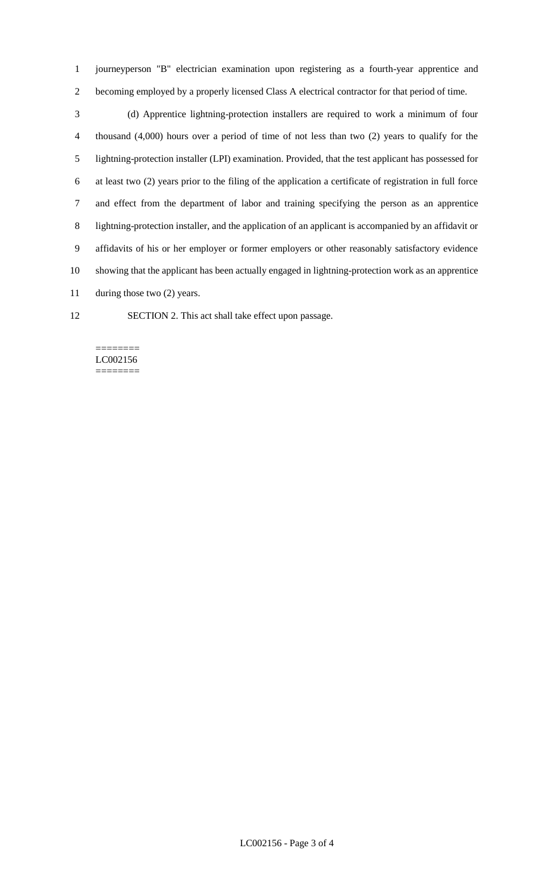journeyperson "B" electrician examination upon registering as a fourth-year apprentice and becoming employed by a properly licensed Class A electrical contractor for that period of time.

 (d) Apprentice lightning-protection installers are required to work a minimum of four thousand (4,000) hours over a period of time of not less than two (2) years to qualify for the lightning-protection installer (LPI) examination. Provided, that the test applicant has possessed for at least two (2) years prior to the filing of the application a certificate of registration in full force and effect from the department of labor and training specifying the person as an apprentice lightning-protection installer, and the application of an applicant is accompanied by an affidavit or affidavits of his or her employer or former employers or other reasonably satisfactory evidence showing that the applicant has been actually engaged in lightning-protection work as an apprentice 11 during those two (2) years.

SECTION 2. This act shall take effect upon passage.

#### ======== LC002156 ========